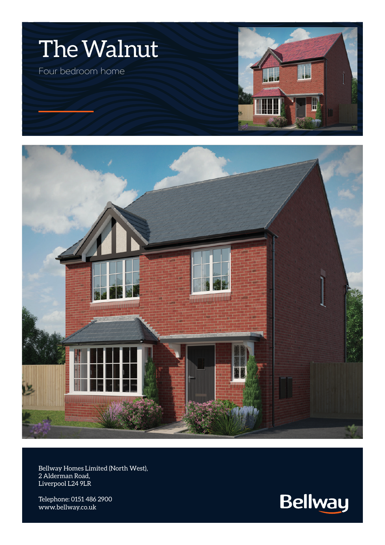



Bellway Homes Limited (North West), 2 Alderman Road, Liverpool L24 9LR

Telephone: 0151 486 2900 www.bellway.co.uk